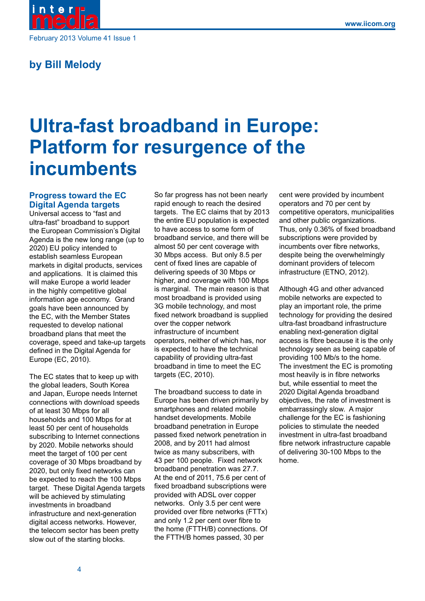

## **by Bill Melody**

# **Ultra-fast broadband in Europe: Platform for resurgence of the incumbents**

## **Progress toward the EC Digital Agenda targets**

Universal access to "fast and ultra-fast" broadband to support the European Commission's Digital Agenda is the new long range (up to 2020) EU policy intended to establish seamless European markets in digital products, services and applications. It is claimed this will make Europe a world leader in the highly competitive global information age economy. Grand goals have been announced by the EC, with the Member States requested to develop national broadband plans that meet the coverage, speed and take-up targets defined in the Digital Agenda for Europe (EC, 2010).

The EC states that to keep up with the global leaders, South Korea and Japan, Europe needs Internet connections with download speeds of at least 30 Mbps for all households and 100 Mbps for at least 50 per cent of households subscribing to Internet connections by 2020. Mobile networks should meet the target of 100 per cent coverage of 30 Mbps broadband by 2020, but only fixed networks can be expected to reach the 100 Mbps target. These Digital Agenda targets will be achieved by stimulating investments in broadband infrastructure and next-generation digital access networks. However, the telecom sector has been pretty slow out of the starting blocks.

So far progress has not been nearly rapid enough to reach the desired targets. The EC claims that by 2013 the entire EU population is expected to have access to some form of broadband service, and there will be almost 50 per cent coverage with 30 Mbps access. But only 8.5 per cent of fixed lines are capable of delivering speeds of 30 Mbps or higher, and coverage with 100 Mbps is marginal. The main reason is that most broadband is provided using 3G mobile technology, and most fixed network broadband is supplied over the copper network infrastructure of incumbent operators, neither of which has, nor is expected to have the technical capability of providing ultra-fast broadband in time to meet the EC targets (EC, 2010).

The broadband success to date in Europe has been driven primarily by smartphones and related mobile handset developments. Mobile broadband penetration in Europe passed fixed network penetration in 2008, and by 2011 had almost twice as many subscribers, with 43 per 100 people. Fixed network broadband penetration was 27.7. At the end of 2011, 75.6 per cent of fixed broadband subscriptions were provided with ADSL over copper networks. Only 3.5 per cent were provided over fibre networks (FTTx) and only 1.2 per cent over fibre to the home (FTTH/B) connections. Of the FTTH/B homes passed, 30 per

cent were provided by incumbent operators and 70 per cent by competitive operators, municipalities and other public organizations. Thus, only 0.36% of fixed broadband subscriptions were provided by incumbents over fibre networks, despite being the overwhelmingly dominant providers of telecom infrastructure (ETNO, 2012).

Although 4G and other advanced mobile networks are expected to play an important role, the prime technology for providing the desired ultra-fast broadband infrastructure enabling next-generation digital access is fibre because it is the only technology seen as being capable of providing 100 Mb/s to the home. The investment the EC is promoting most heavily is in fibre networks but, while essential to meet the 2020 Digital Agenda broadband objectives, the rate of investment is embarrassingly slow. A major challenge for the EC is fashioning policies to stimulate the needed investment in ultra-fast broadband fibre network infrastructure capable of delivering 30-100 Mbps to the home.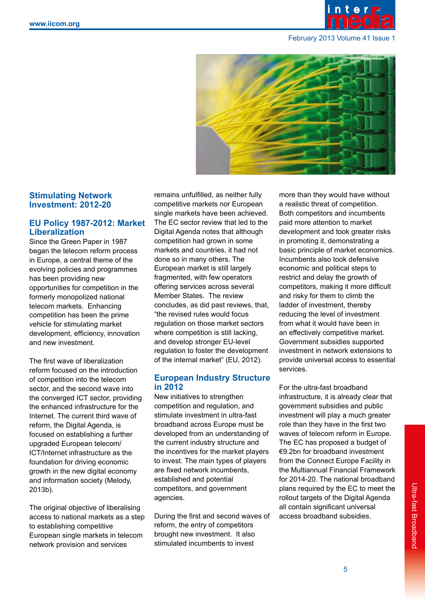



## **Stimulating Network Investment: 2012-20**

## **EU Policy 1987-2012: Market Liberalization**

Since the Green Paper in 1987 began the telecom reform process in Europe, a central theme of the evolving policies and programmes has been providing new opportunities for competition in the formerly monopolized national telecom markets. Enhancing competition has been the prime vehicle for stimulating market development, efficiency, innovation and new investment.

The first wave of liberalization reform focused on the introduction of competition into the telecom sector, and the second wave into the converged ICT sector, providing the enhanced infrastructure for the Internet. The current third wave of reform, the Digital Agenda, is focused on establishing a further upgraded European telecom/ ICT/Internet infrastructure as the foundation for driving economic growth in the new digital economy and information society (Melody, 2013b).

The original objective of liberalising access to national markets as a step to establishing competitive European single markets in telecom network provision and services

remains unfulfilled, as neither fully competitive markets nor European single markets have been achieved. The EC sector review that led to the Digital Agenda notes that although competition had grown in some markets and countries, it had not done so in many others. The European market is still largely fragmented, with few operators offering services across several Member States. The review concludes, as did past reviews, that, "the revised rules would focus regulation on those market sectors where competition is still lacking, and develop stronger EU-level regulation to foster the development of the internal market" (EU, 2012).

## **European Industry Structure in 2012**

New initiatives to strengthen competition and regulation, and stimulate investment in ultra-fast broadband across Europe must be developed from an understanding of the current industry structure and the incentives for the market players to invest. The main types of players are fixed network incumbents, established and potential competitors, and government agencies.

During the first and second waves of reform, the entry of competitors brought new investment. It also stimulated incumbents to invest

more than they would have without a realistic threat of competition. Both competitors and incumbents paid more attention to market development and took greater risks in promoting it, demonstrating a basic principle of market economics. Incumbents also took defensive economic and political steps to restrict and delay the growth of competitors, making it more difficult and risky for them to climb the ladder of investment, thereby reducing the level of investment from what it would have been in an effectively competitive market. Government subsidies supported investment in network extensions to provide universal access to essential services.

For the ultra-fast broadband infrastructure, it is already clear that government subsidies and public investment will play a much greater role than they have in the first two waves of telecom reform in Europe. The EC has proposed a budget of €9.2bn for broadband investment from the Connect Europe Facility in the Multiannual Financial Framework for 2014-20. The national broadband plans required by the EC to meet the rollout targets of the Digital Agenda all contain significant universal access broadband subsidies.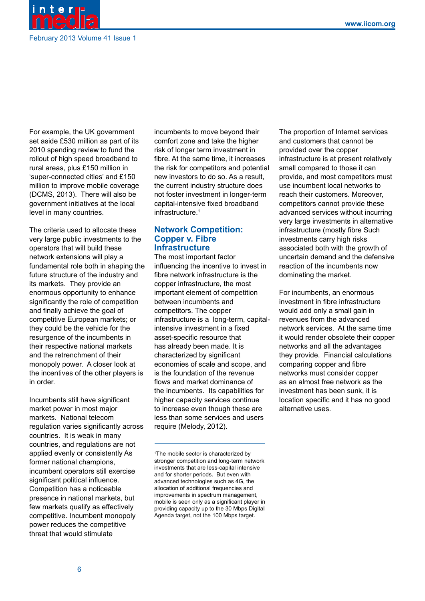

For example, the UK government set aside £530 million as part of its 2010 spending review to fund the rollout of high speed broadband to rural areas, plus £150 million in 'super-connected cities' and £150 million to improve mobile coverage (DCMS, 2013). There will also be government initiatives at the local level in many countries.

The criteria used to allocate these very large public investments to the operators that will build these network extensions will play a fundamental role both in shaping the future structure of the industry and its markets. They provide an enormous opportunity to enhance significantly the role of competition and finally achieve the goal of competitive European markets; or they could be the vehicle for the resurgence of the incumbents in their respective national markets and the retrenchment of their monopoly power. A closer look at the incentives of the other players is in order.

Incumbents still have significant market power in most major markets. National telecom regulation varies significantly across countries. It is weak in many countries, and regulations are not applied evenly or consistently As former national champions, incumbent operators still exercise significant political influence. Competition has a noticeable presence in national markets, but few markets qualify as effectively competitive. Incumbent monopoly power reduces the competitive threat that would stimulate

incumbents to move beyond their comfort zone and take the higher risk of longer term investment in fibre. At the same time, it increases the risk for competitors and potential new investors to do so. As a result, the current industry structure does not foster investment in longer-term capital-intensive fixed broadband infrastructure.<sup>1</sup>

#### **Network Competition: Copper v. Fibre Infrastructure**

The most important factor influencing the incentive to invest in fibre network infrastructure is the copper infrastructure, the most important element of competition between incumbents and competitors. The copper infrastructure is a long-term, capitalintensive investment in a fixed asset-specific resource that has already been made. It is characterized by significant economies of scale and scope, and is the foundation of the revenue flows and market dominance of the incumbents. Its capabilities for higher capacity services continue to increase even though these are less than some services and users require (Melody, 2012).

The proportion of Internet services and customers that cannot be provided over the copper infrastructure is at present relatively small compared to those it can provide, and most competitors must use incumbent local networks to reach their customers. Moreover, competitors cannot provide these advanced services without incurring very large investments in alternative infrastructure (mostly fibre Such investments carry high risks associated both with the growth of uncertain demand and the defensive reaction of the incumbents now dominating the market.

For incumbents, an enormous investment in fibre infrastructure would add only a small gain in revenues from the advanced network services. At the same time it would render obsolete their copper networks and all the advantages they provide. Financial calculations comparing copper and fibre networks must consider copper as an almost free network as the investment has been sunk, it is location specific and it has no good alternative uses.

<sup>1</sup> The mobile sector is characterized by stronger competition and long-term network investments that are less-capital intensive and for shorter periods. But even with advanced technologies such as 4G, the allocation of additional frequencies and improvements in spectrum management, mobile is seen only as a significant player in providing capacity up to the 30 Mbps Digital Agenda target, not the 100 Mbps target.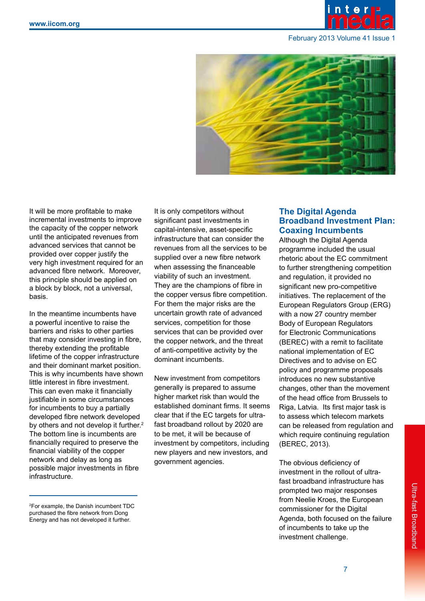



It will be more profitable to make incremental investments to improve the capacity of the copper network until the anticipated revenues from advanced services that cannot be provided over copper justify the very high investment required for an advanced fibre network. Moreover, this principle should be applied on a block by block, not a universal, basis.

In the meantime incumbents have a powerful incentive to raise the barriers and risks to other parties that may consider investing in fibre, thereby extending the profitable lifetime of the copper infrastructure and their dominant market position. This is why incumbents have shown little interest in fibre investment. This can even make it financially justifiable in some circumstances for incumbents to buy a partially developed fibre network developed by others and not develop it further.<sup>2</sup> The bottom line is incumbents are financially required to preserve the financial viability of the copper network and delay as long as possible major investments in fibre infrastructure.

It is only competitors without significant past investments in capital-intensive, asset-specific infrastructure that can consider the revenues from all the services to be supplied over a new fibre network when assessing the financeable viability of such an investment. They are the champions of fibre in the copper versus fibre competition. For them the major risks are the uncertain growth rate of advanced services, competition for those services that can be provided over the copper network, and the threat of anti-competitive activity by the dominant incumbents.

New investment from competitors generally is prepared to assume higher market risk than would the established dominant firms. It seems clear that if the EC targets for ultrafast broadband rollout by 2020 are to be met, it will be because of investment by competitors, including new players and new investors, and government agencies.

## **The Digital Agenda Broadband Investment Plan: Coaxing Incumbents**

Although the Digital Agenda programme included the usual rhetoric about the EC commitment to further strengthening competition and regulation, it provided no significant new pro-competitive initiatives. The replacement of the European Regulators Group (ERG) with a now 27 country member Body of European Regulators for Electronic Communications (BEREC) with a remit to facilitate national implementation of EC Directives and to advise on EC policy and programme proposals introduces no new substantive changes, other than the movement of the head office from Brussels to Riga, Latvia. Its first major task is to assess which telecom markets can be released from regulation and which require continuing regulation (BEREC, 2013).

The obvious deficiency of investment in the rollout of ultrafast broadband infrastructure has prompted two major responses from Neelie Kroes, the European commissioner for the Digital Agenda, both focused on the failure of incumbents to take up the investment challenge.

<sup>2</sup> For example, the Danish incumbent TDC purchased the fibre network from Dong Energy and has not developed it further.